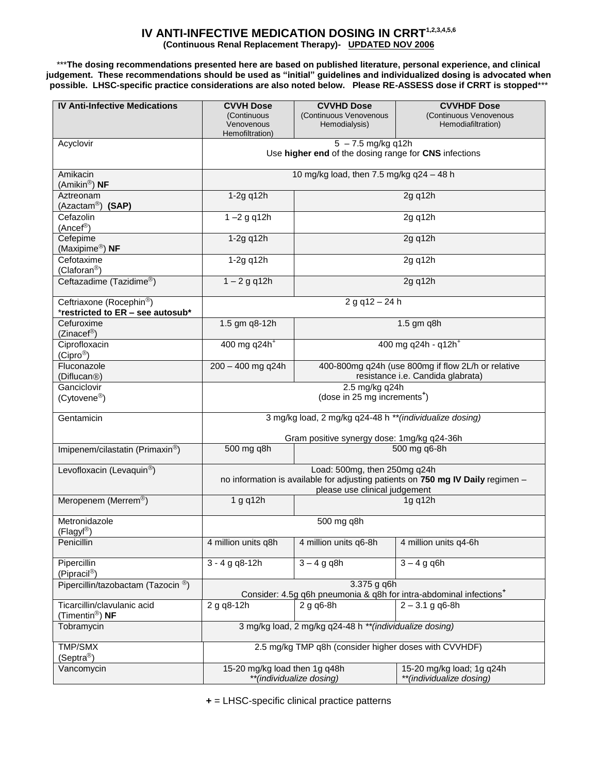## **IV ANTI-INFECTIVE MEDICATION DOSING IN CRRT1,2,3,4,5,6**

**(Continuous Renal Replacement Therapy)- UPDATED NOV 2006**

\*\*\***The dosing recommendations presented here are based on published literature, personal experience, and clinical judgement. These recommendations should be used as "initial" guidelines and individualized dosing is advocated when possible. LHSC-specific practice considerations are also noted below. Please RE-ASSESS dose if CRRT is stopped**\*\*\*

| <b>IV Anti-Infective Medications</b>                                     | <b>CVVH Dose</b><br>(Continuous                                                                                 | <b>CVVHD Dose</b><br>(Continuous Venovenous | <b>CVVHDF Dose</b><br>(Continuous Venovenous          |
|--------------------------------------------------------------------------|-----------------------------------------------------------------------------------------------------------------|---------------------------------------------|-------------------------------------------------------|
|                                                                          | Venovenous<br>Hemofiltration)                                                                                   | Hemodialysis)                               | Hemodiafiltration)                                    |
| Acyclovir                                                                | $\frac{1}{5}$ - 7.5 mg/kg q12h<br>Use higher end of the dosing range for CNS infections                         |                                             |                                                       |
|                                                                          |                                                                                                                 |                                             |                                                       |
| Amikacin<br>(Amikin®) NF                                                 | 10 mg/kg load, then 7.5 mg/kg q24 - 48 h                                                                        |                                             |                                                       |
| Aztreonam                                                                | 1-2g q12h                                                                                                       |                                             | 2g q12h                                               |
| (Azactam®)<br>(SAP)                                                      |                                                                                                                 |                                             |                                                       |
| Cefazolin<br>(Ancef <sup>®</sup> )                                       | $1 - 2$ g q12h                                                                                                  |                                             | 2g q12h                                               |
| Cefepime                                                                 | 1-2g q12h                                                                                                       |                                             | 2g q12h                                               |
| (Maxipime <sup>®</sup> ) NF                                              |                                                                                                                 |                                             |                                                       |
| Cefotaxime<br>(Claforan <sup>®</sup> )                                   | 1-2g q12h                                                                                                       |                                             | 2g q12h                                               |
| Ceftazadime (Tazidime®)                                                  | $1 - 2$ g q12h                                                                                                  |                                             | 2g q12h                                               |
| Ceftriaxone (Rocephin <sup>®</sup> )<br>*restricted to ER - see autosub* | $2 g q12 - 24 h$                                                                                                |                                             |                                                       |
| Cefuroxime<br>(Zinacef <sup>®</sup> )                                    | 1.5 gm q8-12h                                                                                                   |                                             | 1.5 gm q8h                                            |
| Ciprofloxacin<br>$(Cipro^{\circledR})$                                   | $400$ mg q24h <sup>+</sup>                                                                                      |                                             | 400 mg q24h - q12h <sup>+</sup>                       |
| Fluconazole                                                              | 200 - 400 mg q24h                                                                                               |                                             | 400-800mg q24h (use 800mg if flow 2L/h or relative    |
| (Diflucan <sup>®</sup> )                                                 | resistance i.e. Candida glabrata)                                                                               |                                             |                                                       |
| Ganciclovir<br>(Cytovene <sup>®</sup> )                                  | 2.5 mg/kg q24h<br>(dose in 25 mg increments <sup>+</sup> )                                                      |                                             |                                                       |
| Gentamicin                                                               | 3 mg/kg load, 2 mg/kg q24-48 h **(individualize dosing)                                                         |                                             |                                                       |
|                                                                          | Gram positive synergy dose: 1mg/kg q24-36h                                                                      |                                             |                                                       |
| Imipenem/cilastatin (Primaxin <sup>®</sup> )                             | 500 mg q8h                                                                                                      |                                             | 500 mg q6-8h                                          |
| Levofloxacin (Levaquin <sup>®</sup> )                                    | Load: 500mg, then 250mg q24h<br>no information is available for adjusting patients on 750 mg IV Daily regimen - |                                             |                                                       |
|                                                                          | please use clinical judgement                                                                                   |                                             |                                                       |
| Meropenem (Merrem®)                                                      | 1 g q12h                                                                                                        |                                             | 1g q12h                                               |
| Metronidazole<br>(Flagyl <sup>®</sup> )                                  | 500 mg q8h                                                                                                      |                                             |                                                       |
| Penicillin                                                               | 4 million units q8h                                                                                             | 4 million units q6-8h                       | 4 million units q4-6h                                 |
| Pipercillin                                                              | $3 - 4 g q8 - 12h$                                                                                              | $3 - 4$ g q8h                               | $3 - 4$ g q6h                                         |
| (Pipracil®)<br>Pipercillin/tazobactam (Tazocin ®)                        |                                                                                                                 | 3.375 g q6h                                 |                                                       |
|                                                                          | Consider: 4.5g q6h pneumonia & q8h for intra-abdominal infections <sup>+</sup>                                  |                                             |                                                       |
| Ticarcillin/clavulanic acid<br>(Timentin <sup>®</sup> ) NF               | 2 g q8-12h                                                                                                      | $2$ g q6-8h                                 | $2 - 3.1$ g q6-8h                                     |
| Tobramycin                                                               | 3 mg/kg load, 2 mg/kg q24-48 h **(individualize dosing)                                                         |                                             |                                                       |
| <b>TMP/SMX</b><br>(Septra <sup>®</sup> )                                 | 2.5 mg/kg TMP q8h (consider higher doses with CVVHDF)                                                           |                                             |                                                       |
| Vancomycin                                                               | 15-20 mg/kg load then 1g q48h<br>**(individualize dosing)                                                       |                                             | 15-20 mg/kg load; 1g q24h<br>**(individualize dosing) |

**+** = LHSC-specific clinical practice patterns